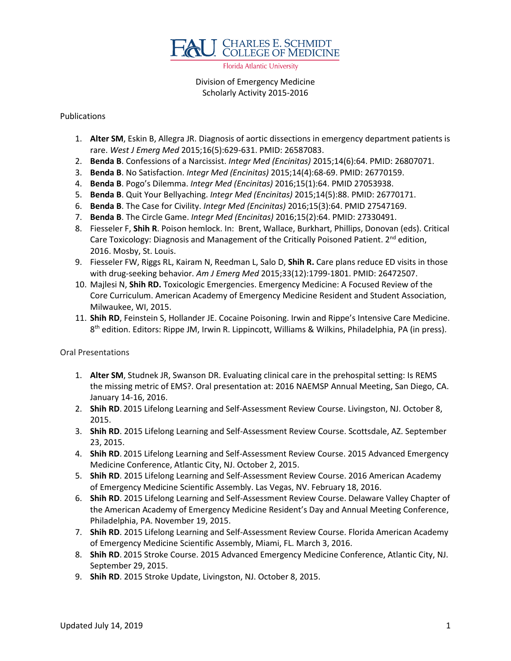

Florida Atlantic University

## Division of Emergency Medicine Scholarly Activity 2015-2016

## Publications

- 1. **Alter SM**, Eskin B, Allegra JR. Diagnosis of aortic dissections in emergency department patients is rare. *West J Emerg Med* 2015;16(5):629-631. PMID: 26587083.
- 2. **Benda B**. Confessions of a Narcissist. *Integr Med (Encinitas)* 2015;14(6):64. PMID: 26807071.
- 3. **Benda B**. No Satisfaction. *Integr Med (Encinitas)* 2015;14(4):68-69. PMID: 26770159.
- 4. **Benda B**. Pogo's Dilemma. *Integr Med (Encinitas)* 2016;15(1):64. PMID 27053938.
- 5. **Benda B**. Quit Your Bellyaching. *Integr Med (Encinitas)* 2015;14(5):88. PMID: 26770171.
- 6. **Benda B**. The Case for Civility. *Integr Med (Encinitas)* 2016;15(3):64. PMID 27547169.
- 7. **Benda B**. The Circle Game. *Integr Med (Encinitas)* 2016;15(2):64. PMID: 27330491.
- 8. Fiesseler F, **Shih R**. Poison hemlock. In: Brent, Wallace, Burkhart, Phillips, Donovan (eds). Critical Care Toxicology: Diagnosis and Management of the Critically Poisoned Patient. 2<sup>nd</sup> edition, 2016. Mosby, St. Louis.
- 9. Fiesseler FW, Riggs RL, Kairam N, Reedman L, Salo D, **Shih R.** Care plans reduce ED visits in those with drug-seeking behavior. *Am J Emerg Med* 2015;33(12):1799-1801. PMID: 26472507.
- 10. Majlesi N, **Shih RD.** Toxicologic Emergencies. Emergency Medicine: A Focused Review of the Core Curriculum. American Academy of Emergency Medicine Resident and Student Association, Milwaukee, WI, 2015.
- 11. **Shih RD**, Feinstein S, Hollander JE. Cocaine Poisoning. Irwin and Rippe's Intensive Care Medicine. 8<sup>th</sup> edition. Editors: Rippe JM, Irwin R. Lippincott, Williams & Wilkins, Philadelphia, PA (in press).

## Oral Presentations

- 1. **Alter SM**, Studnek JR, Swanson DR. Evaluating clinical care in the prehospital setting: Is REMS the missing metric of EMS?. Oral presentation at: 2016 NAEMSP Annual Meeting, San Diego, CA. January 14-16, 2016.
- 2. **Shih RD**. 2015 Lifelong Learning and Self-Assessment Review Course. Livingston, NJ. October 8, 2015.
- 3. **Shih RD**. 2015 Lifelong Learning and Self-Assessment Review Course. Scottsdale, AZ. September 23, 2015.
- 4. **Shih RD**. 2015 Lifelong Learning and Self-Assessment Review Course. 2015 Advanced Emergency Medicine Conference, Atlantic City, NJ. October 2, 2015.
- 5. **Shih RD**. 2015 Lifelong Learning and Self-Assessment Review Course. 2016 American Academy of Emergency Medicine Scientific Assembly. Las Vegas, NV. February 18, 2016.
- 6. **Shih RD**. 2015 Lifelong Learning and Self-Assessment Review Course. Delaware Valley Chapter of the American Academy of Emergency Medicine Resident's Day and Annual Meeting Conference, Philadelphia, PA. November 19, 2015.
- 7. **Shih RD**. 2015 Lifelong Learning and Self-Assessment Review Course. Florida American Academy of Emergency Medicine Scientific Assembly, Miami, FL. March 3, 2016.
- 8. **Shih RD**. 2015 Stroke Course. 2015 Advanced Emergency Medicine Conference, Atlantic City, NJ. September 29, 2015.
- 9. **Shih RD**. 2015 Stroke Update, Livingston, NJ. October 8, 2015.